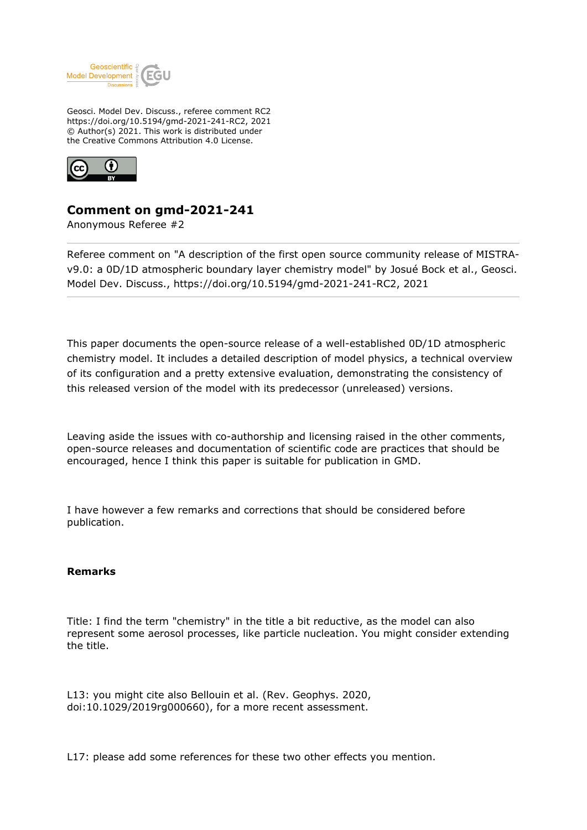

Geosci. Model Dev. Discuss., referee comment RC2 https://doi.org/10.5194/gmd-2021-241-RC2, 2021 © Author(s) 2021. This work is distributed under the Creative Commons Attribution 4.0 License.



## **Comment on gmd-2021-241**

Anonymous Referee #2

Referee comment on "A description of the first open source community release of MISTRAv9.0: a 0D/1D atmospheric boundary layer chemistry model" by Josué Bock et al., Geosci. Model Dev. Discuss., https://doi.org/10.5194/gmd-2021-241-RC2, 2021

This paper documents the open-source release of a well-established 0D/1D atmospheric chemistry model. It includes a detailed description of model physics, a technical overview of its configuration and a pretty extensive evaluation, demonstrating the consistency of this released version of the model with its predecessor (unreleased) versions.

Leaving aside the issues with co-authorship and licensing raised in the other comments, open-source releases and documentation of scientific code are practices that should be encouraged, hence I think this paper is suitable for publication in GMD.

I have however a few remarks and corrections that should be considered before publication.

## **Remarks**

Title: I find the term "chemistry" in the title a bit reductive, as the model can also represent some aerosol processes, like particle nucleation. You might consider extending the title.

L13: you might cite also Bellouin et al. (Rev. Geophys. 2020, doi:10.1029/2019rg000660), for a more recent assessment.

L17: please add some references for these two other effects you mention.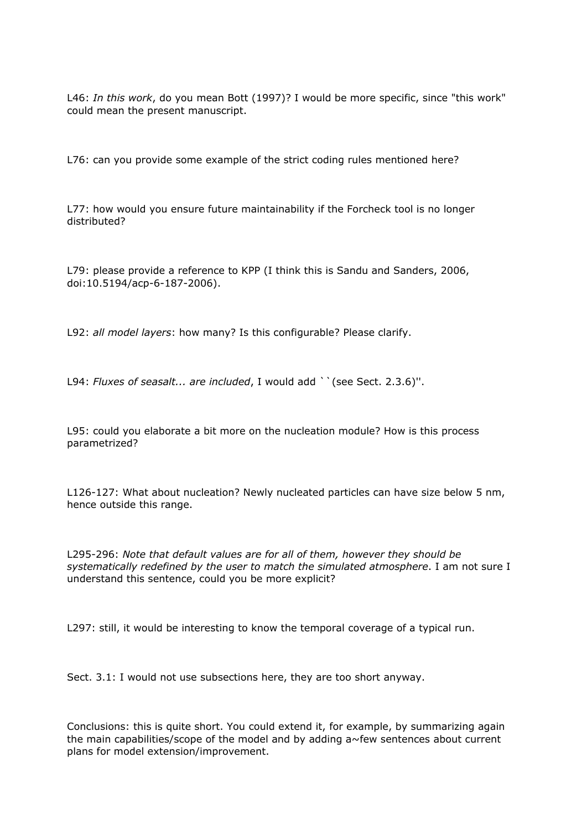L46: *In this work*, do you mean Bott (1997)? I would be more specific, since "this work" could mean the present manuscript.

L76: can you provide some example of the strict coding rules mentioned here?

L77: how would you ensure future maintainability if the Forcheck tool is no longer distributed?

L79: please provide a reference to KPP (I think this is Sandu and Sanders, 2006, doi:10.5194/acp-6-187-2006).

L92: *all model layers*: how many? Is this configurable? Please clarify.

L94: *Fluxes of seasalt... are included*, I would add ``(see Sect. 2.3.6)''.

L95: could you elaborate a bit more on the nucleation module? How is this process parametrized?

L126-127: What about nucleation? Newly nucleated particles can have size below 5 nm, hence outside this range.

L295-296: *Note that default values are for all of them, however they should be systematically redefined by the user to match the simulated atmosphere*. I am not sure I understand this sentence, could you be more explicit?

L297: still, it would be interesting to know the temporal coverage of a typical run.

Sect. 3.1: I would not use subsections here, they are too short anyway.

Conclusions: this is quite short. You could extend it, for example, by summarizing again the main capabilities/scope of the model and by adding  $a \sim$  few sentences about current plans for model extension/improvement.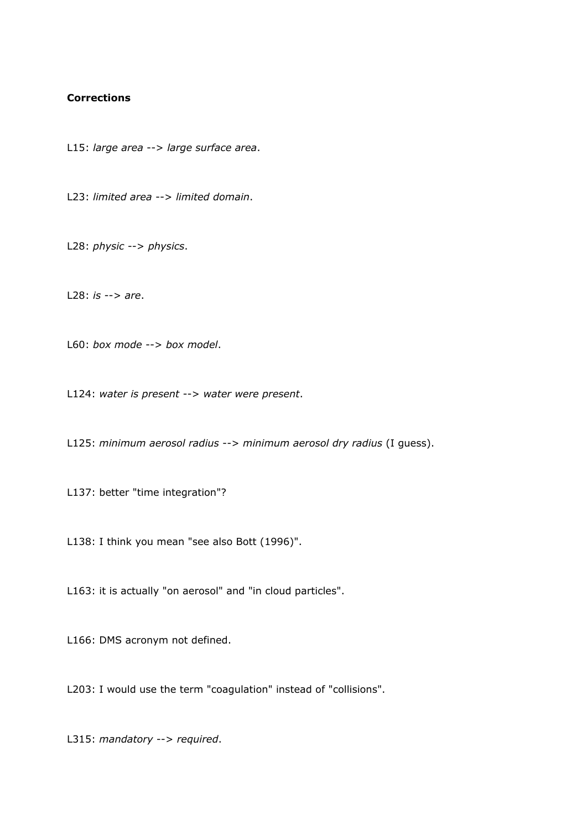## **Corrections**

L15: *large area* --> *large surface area*.

L23: *limited area* --> *limited domain*.

L28: *physic* --> *physics*.

L28: *is* --> *are*.

L60: *box mode* --> *box model*.

L124: *water is present* --> *water were present*.

L125: *minimum aerosol radius* --> *minimum aerosol dry radius* (I guess).

L137: better "time integration"?

L138: I think you mean "see also Bott (1996)".

L163: it is actually "on aerosol" and "in cloud particles".

L166: DMS acronym not defined.

L203: I would use the term "coagulation" instead of "collisions".

L315: *mandatory* --> *required*.